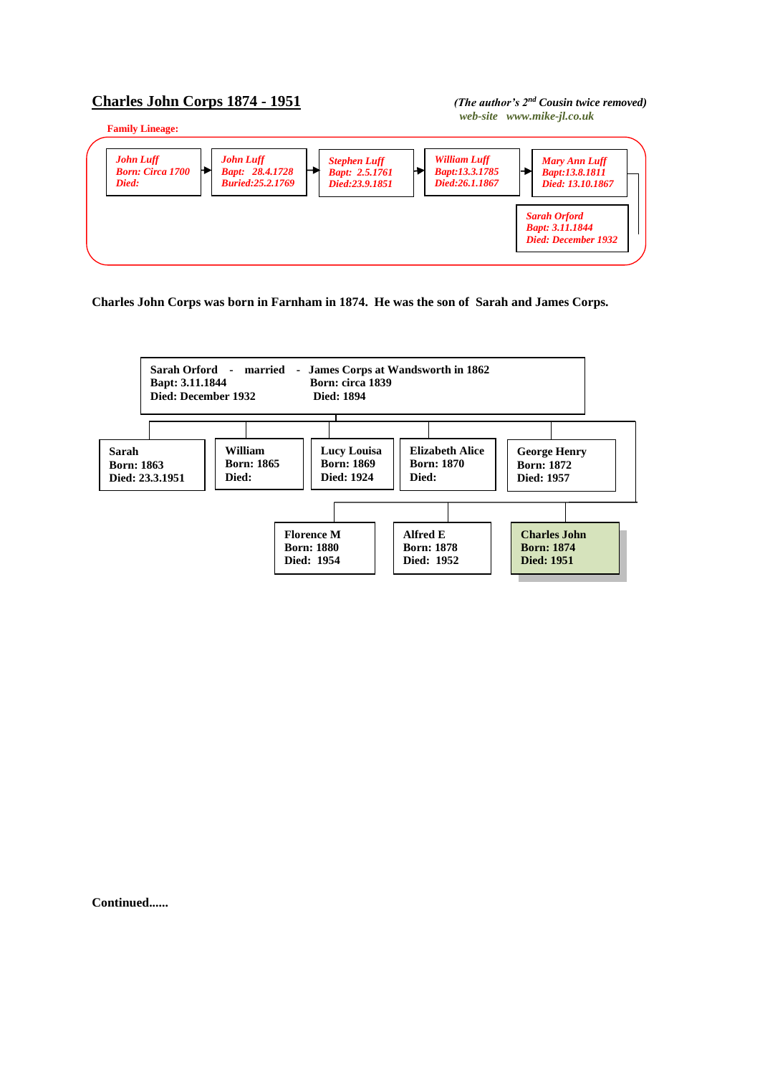## **Charles John Corps 1874 - 1951** *(The author's 2nd Cousin twice removed)*



**Charles John Corps was born in Farnham in 1874. He was the son of Sarah and James Corps.**



**Continued......**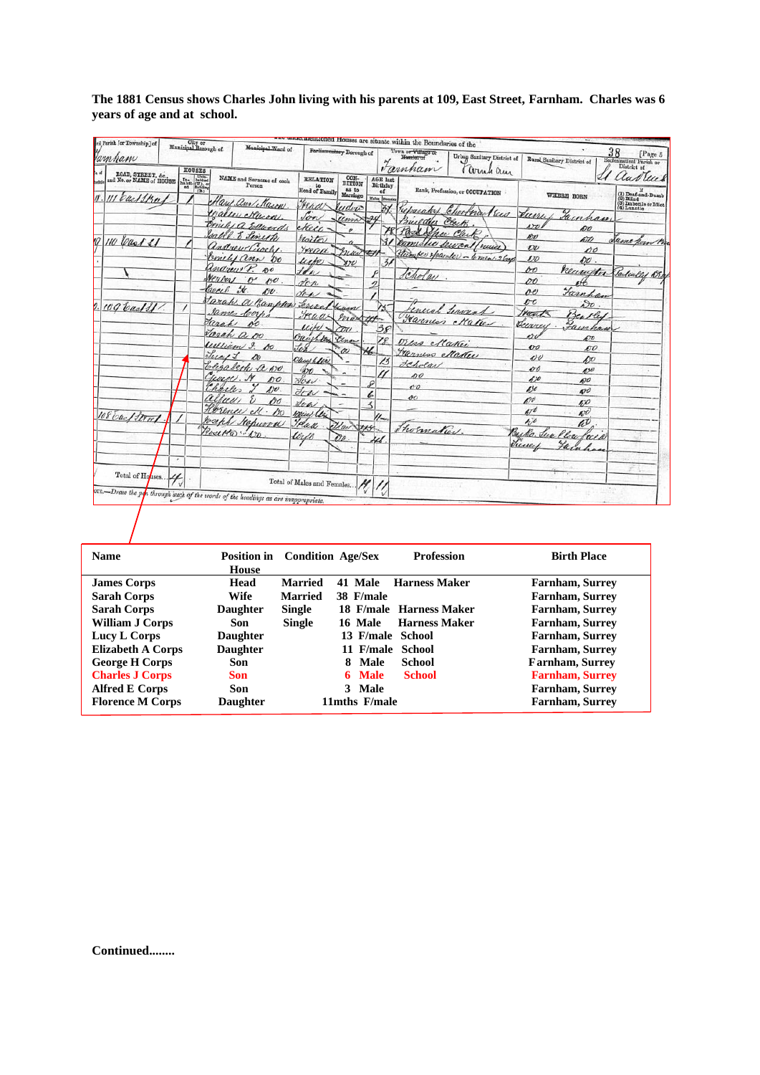| vil Parish [or Township] of<br>Jamham<br>ROAD, STREET, &c., | City or<br>Municipal Borough of<br><b>HOUSES</b>                                                                    | Municipal.Ward of                                                                 |                                         | Porliamentary Borough of            |                                                     | detinentioned Houses are situate within the Boundaries of the<br>Town or Village or<br>Homigt of<br>Farnham | Urban Sanitary District of<br>Cornel am                 |                                      | Rural Sanitary District of               | 38<br>[Page 5<br>Ecclesinstical Parish or<br>District of                                                                                               |
|-------------------------------------------------------------|---------------------------------------------------------------------------------------------------------------------|-----------------------------------------------------------------------------------|-----------------------------------------|-------------------------------------|-----------------------------------------------------|-------------------------------------------------------------------------------------------------------------|---------------------------------------------------------|--------------------------------------|------------------------------------------|--------------------------------------------------------------------------------------------------------------------------------------------------------|
| and No. or NAME of HOUSE<br>call the                        | $\begin{array}{l} \text{In.} \\ \text{In.} \\ \text{has bit:} \\ \text{of} \\ \text{of} \\ \text{(B.)} \end{array}$ | NAME and Surname of each<br>Person<br>lary and Mason                              | <b>RELATION</b><br>to<br>Head of Family | CON-<br>DITION<br>as to<br>Marriage | <b>AGE</b> last<br>Birthday<br>of<br>Males  Females |                                                                                                             | Rank, Profession, or OCCUPATION                         |                                      | WHERE BORN                               | lud leur<br>$\begin{array}{l} \textbf{(1) Dead-and-Dumb} \\ \textbf{(2) Blind} \\ \textbf{(3) Indeed is or Idiot} \\ \textbf{(4) Lumatio} \end{array}$ |
|                                                             |                                                                                                                     | ealler Murry<br>michi a Edwards                                                   | Fraar<br>Son<br>ekeee-                  | ludvic<br>umi                       | 32                                                  | basaket<br>Builder<br>Pask She Club                                                                         | Chortna Seco<br>Clark                                   | Run<br>sro.                          | Fainham<br>ÐО                            |                                                                                                                                                        |
| 10 Cast St                                                  |                                                                                                                     | salle. E Lineth<br>andrew Crosh<br>Conches ann 00                                 | Noitor<br>yead<br>urte                  | buure                               | $\mathcal{F}$                                       |                                                                                                             | Domistic Secret/ruise<br>Humber Hearder - 6 men. 2 lays | <b>BU</b><br>$\overline{\nu}$<br>170 | ño<br>po<br>$\mathcal{O}0$ .             | ume form B                                                                                                                                             |
|                                                             |                                                                                                                     | Undrew P. 80<br>rental o po.<br>Caech it.                                         | H<br>den                                | $x\in$                              | $\frac{3}{2}$<br>n                                  | Cholay.                                                                                                     |                                                         | 60<br>DÓ                             | neuriton                                 | Sarleally 108                                                                                                                                          |
| 109 Cast St.                                                |                                                                                                                     | $n_{U}$<br>Jarah a Bamplen<br>James Coch                                          | for-<br>Lenan<br>yeaa                   | Kum<br>max 41                       | N.                                                  |                                                                                                             | cuccal terminal<br>Farmer Maker                         | oe<br>00<br>rant.                    | Tumhan<br>$S_{\mathcal{O}}$ .<br>Bentley |                                                                                                                                                        |
|                                                             | Tarah                                                                                                               | so.<br>Jarah a oo<br>William 9. AU                                                | lcihl<br>Oughton<br>Jor                 | $\tau$<br>Genau                     | 38<br>18                                            | tres Nation                                                                                                 |                                                         | Turrey<br>erv<br>$\mathbf{v}$        | ainhau<br>p0<br><b>NO</b>                |                                                                                                                                                        |
|                                                             | Lucy 1                                                                                                              | blizabeth a wo.<br>Cource. Sx                                                     | Ouces help<br>ЮO                        | w<br>-                              | 13                                                  | Transes Maker<br>deholar<br>so                                                                              |                                                         | $\mathbf{v}$<br>00                   | bo<br>4,90                               |                                                                                                                                                        |
|                                                             | Charles<br>alluus                                                                                                   | p0<br>$A$ <sub>1</sub><br>po                                                      | dow<br>Jow<br>Low                       |                                     | 6<br>$\prec$                                        | 00<br>$^{oo}$                                                                                               |                                                         | 670<br>650<br>690                    | p0<br>490<br>50                          |                                                                                                                                                        |
| 108 bac/Street                                              |                                                                                                                     | Horence ell . Do<br>Joseph Stepwood<br>Rosetto  120                               | Wear les<br>Treall                      | Ular 145                            | $\mathcal{U}_{\mathsf{m}}$                          | Thormatic                                                                                                   |                                                         | 470<br>$40^{\circ}$<br>Bec<br>ko.    | $\mathcal{O}$<br>w                       |                                                                                                                                                        |
|                                                             | ٠                                                                                                                   |                                                                                   | tirto                                   | PD.                                 |                                                     |                                                                                                             |                                                         | June                                 | Place<br>reer                            |                                                                                                                                                        |
| Total of Houses                                             |                                                                                                                     | ore.-Draw the per through such of the words of the headings as are inappropriate, | Total of Males and Females              |                                     |                                                     |                                                                                                             |                                                         |                                      |                                          |                                                                                                                                                        |

**The 1881 Census shows Charles John living with his parents at 109, East Street, Farnham. Charles was 6 years of age and at school.**

| <b>Name</b>              | <b>Position in</b><br>House | <b>Condition Age/Sex</b> |                  | <b>Profession</b>       | <b>Birth Place</b>     |
|--------------------------|-----------------------------|--------------------------|------------------|-------------------------|------------------------|
| <b>James Corps</b>       | Head                        | <b>Married</b>           | 41 Male          | <b>Harness Maker</b>    | <b>Farnham, Surrey</b> |
| <b>Sarah Corps</b>       | Wife                        | <b>Married</b>           | 38 F/male        |                         | Farnham, Surrey        |
| <b>Sarah Corps</b>       | <b>Daughter</b>             | <b>Single</b>            |                  | 18 F/male Harness Maker | Farnham, Surrey        |
| <b>William J Corps</b>   | Son                         | <b>Single</b>            | 16 Male          | <b>Harness Maker</b>    | Farnham, Surrey        |
| Lucy L Corps             | <b>Daughter</b>             |                          | 13 F/male School |                         | Farnham, Surrey        |
| <b>Elizabeth A Corps</b> | <b>Daughter</b>             |                          | 11 F/male School |                         | <b>Farnham, Surrey</b> |
| <b>George H Corps</b>    | Son                         |                          | Male<br>8.       | School                  | <b>Farnham, Surrey</b> |
| <b>Charles J Corps</b>   | <b>Son</b>                  |                          | 6 Male           | <b>School</b>           | <b>Farnham, Surrey</b> |
| <b>Alfred E Corps</b>    | Son                         |                          | 3 Male           |                         | <b>Farnham, Surrey</b> |
| <b>Florence M Corps</b>  | <b>Daughter</b>             |                          | 11mths F/male    |                         | <b>Farnham, Surrey</b> |

**Continued........**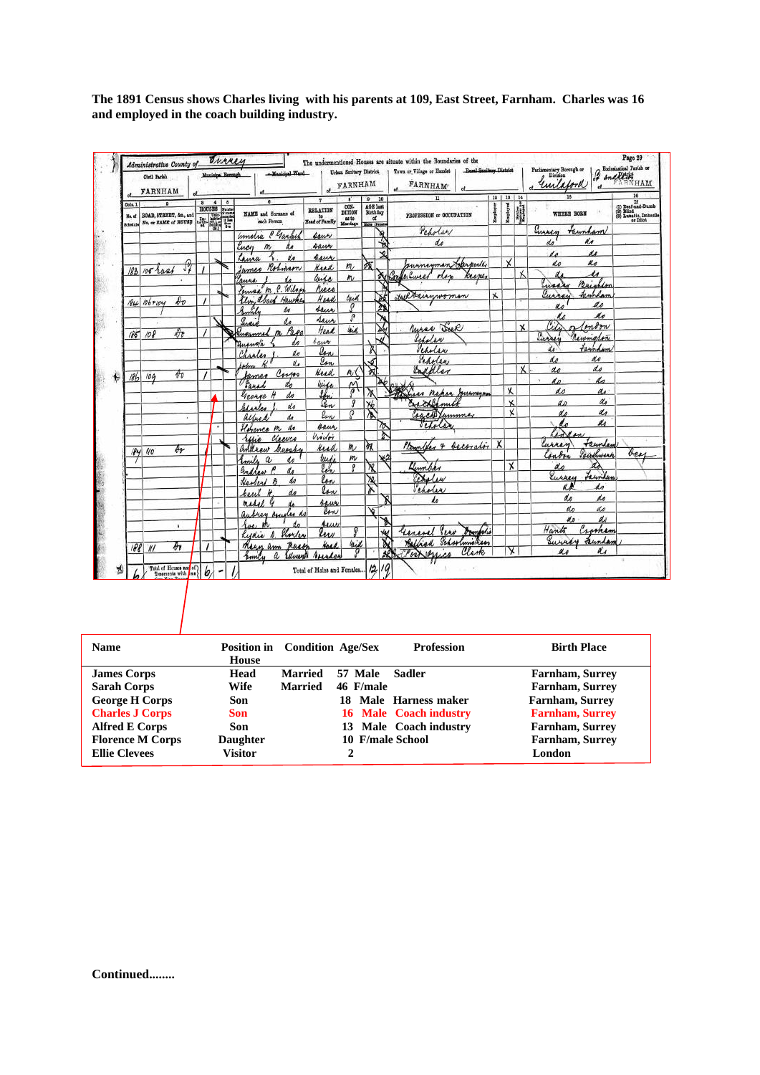**The 1891 Census shows Charles living with his parents at 109, East Street, Farnham. Charles was 16 and employed in the coach building industry.**

|                   | Civil Parish<br>FARNHAM                        |          |                         | Municipal Borough |         | -Manisipal Ward                                        |                      |             | Urban Sanitary District 1<br>FARNHAM |                                      |         | Royal Senilary District<br>Town or Vilage or Hamlet<br><b>FARNHAM</b> |                          |                         |                | Parliamentary Becough or<br>Division<br>· unlaboral | $\begin{array}{ c } \hline \textbf{Euclidean Total } \\\textbf{Partial } \\\hline \textbf{And}(E) \\\hline \end{array}$<br>RNHAM |
|-------------------|------------------------------------------------|----------|-------------------------|-------------------|---------|--------------------------------------------------------|----------------------|-------------|--------------------------------------|--------------------------------------|---------|-----------------------------------------------------------------------|--------------------------|-------------------------|----------------|-----------------------------------------------------|----------------------------------------------------------------------------------------------------------------------------------|
| Cols. 1           |                                                |          | $\overline{\mathbf{a}}$ | $\overline{A}$    | $\circ$ | a<br><b>NAME</b> and Sumano of                         | ×<br><b>RELATION</b> |             | CON-<br>DITION                       | $\mathbf{p}$<br>AGE last<br>Birthday | 10      | $\overline{v}$                                                        | 19   18   14<br>Employer | <b>Easts</b>            |                | 15<br><b>WHERE BORN</b>                             | 16<br>If (1) Deaf-and-Dumb<br>(9) Bind<br>(9) Lunatin, Imbocile<br>or Idiot                                                      |
| No. of<br>Schodzk | B0AD, STREET, &c., and<br>No. or NAME of HOUSE |          | <b>HOUSES</b>           |                   |         | each Person                                            | to<br>Head of Family |             | 88.50<br>Marriage Mon Pensis         | αf                                   |         | PROFESSION or OCCUPATION                                              |                          |                         | <b>British</b> |                                                     |                                                                                                                                  |
|                   |                                                |          |                         |                   |         | amelia Chanked                                         | saur                 |             |                                      |                                      | স       | Peholar                                                               |                          |                         |                | teinham<br>Lussen                                   |                                                                                                                                  |
|                   |                                                |          |                         |                   |         | Lucy<br>m                                              | saur                 |             |                                      |                                      |         | de                                                                    |                          |                         |                | do                                                  |                                                                                                                                  |
|                   |                                                |          |                         |                   |         | Laura                                                  | seur                 |             |                                      |                                      | ᢦ       |                                                                       |                          | $\times$                |                | 11                                                  |                                                                                                                                  |
|                   | 183 105 rast                                   | JŽ       |                         |                   |         | James Robinson                                         | Keed                 |             | m                                    | 合                                    |         | sumeyman Sproude                                                      |                          |                         |                | K o<br>do                                           |                                                                                                                                  |
|                   |                                                |          |                         |                   |         | Laura                                                  | Caise                |             | m <sub>l</sub>                       |                                      | du Cons | e. Curred<br>nes<br>Ree me                                            |                          |                         |                | u                                                   |                                                                                                                                  |
|                   |                                                |          |                         |                   |         | Louisa M. P. Wilso                                     |                      | niece       |                                      |                                      |         |                                                                       |                          |                         |                | Susa<br>Brighton                                    |                                                                                                                                  |
|                   | $N_{44}$ 106+104                               | $\ell v$ |                         |                   |         | Elvin abeck<br>Hawke                                   |                      | Head        | lack                                 |                                      |         | Helterinwoman                                                         | Χ                        |                         |                | templan<br>urres                                    |                                                                                                                                  |
|                   |                                                |          |                         |                   |         | Smith<br>do                                            |                      | saue        | Ω                                    |                                      | λ       |                                                                       |                          |                         |                | ao                                                  |                                                                                                                                  |
|                   |                                                |          |                         |                   |         | انتصه<br>o<br>do                                       |                      | Saur        | P                                    |                                      |         |                                                                       |                          |                         |                | Ke<br>ø                                             |                                                                                                                                  |
|                   | $185 - 108$                                    | Dъ       |                         |                   |         | Eugenel n Page                                         |                      | Head        | leid                                 |                                      |         | Murar Drek                                                            |                          |                         | $\mathbf x$    | ĽΖ<br>moon                                          |                                                                                                                                  |
|                   |                                                |          |                         |                   |         | Ausur/a<br>d.a                                         | bauer                |             |                                      |                                      |         | Scholar                                                               |                          |                         |                | Eure<br>Rewmalin                                    |                                                                                                                                  |
|                   |                                                |          |                         |                   |         | Charles<br>do                                          |                      | lon         |                                      |                                      |         | Veholar                                                               |                          |                         |                | templan<br>do                                       |                                                                                                                                  |
|                   |                                                |          |                         |                   |         | $\mathbf{v}_a$<br>Jehn                                 |                      | lon         |                                      | 6                                    |         | Sepolen                                                               |                          |                         |                | do<br>no                                            |                                                                                                                                  |
|                   | 104                                            | $\theta$ |                         |                   |         | Corsos<br>fames.                                       | Head                 |             | n(                                   | স্ব                                  |         | Endoller                                                              |                          |                         | x              | do<br>do                                            |                                                                                                                                  |
| 186               |                                                |          |                         |                   |         | do<br>Sanad                                            | Wife                 |             | $\mathfrak{A}$                       |                                      |         |                                                                       |                          |                         |                | do<br>d n                                           |                                                                                                                                  |
|                   |                                                |          |                         |                   |         | do<br>H<br>George                                      |                      | len         |                                      |                                      |         | Mass naper Jurneyou                                                   |                          | Χ                       |                | do                                                  | do                                                                                                                               |
|                   |                                                |          |                         |                   |         | do<br>Blaske                                           |                      | <u>len</u>  | д                                    | <b>X6</b>                            |         | rackbeming                                                            |                          | $\overline{\mathbf{x}}$ |                | d <sub>D</sub>                                      | do                                                                                                                               |
|                   |                                                | ¥        |                         |                   |         | do<br>allegal                                          |                      | lon         | ō                                    | Σ                                    |         | Carcell Lummay                                                        |                          | x                       |                | d'                                                  | do                                                                                                                               |
|                   |                                                |          |                         |                   |         | Horance m<br>do                                        |                      | caus,       |                                      |                                      | 70      | teholo                                                                |                          |                         |                |                                                     | ao                                                                                                                               |
|                   |                                                |          |                         |                   |         | Cleence<br>refice                                      | Violoi               |             |                                      |                                      | ħ       |                                                                       |                          |                         |                |                                                     |                                                                                                                                  |
|                   |                                                | Ar       |                         |                   |         | andrew buoshy                                          |                      | <b>Read</b> | m                                    | ÌХ                                   |         | alter & becorator X<br>$\frac{1}{2}$                                  |                          |                         |                | teunley<br>wires                                    |                                                                                                                                  |
|                   | 184 40                                         |          |                         |                   |         | Emily<br>$\alpha$<br>do                                |                      | turke       | m                                    |                                      |         |                                                                       |                          |                         |                | Carolineach<br>into                                 | bee.                                                                                                                             |
|                   |                                                |          |                         |                   |         | Gadrow<br>da                                           |                      | lah,        |                                      | 观                                    |         | Lember                                                                |                          | X                       |                | χλ<br>do                                            |                                                                                                                                  |
|                   |                                                |          |                         |                   |         | do<br>Heolend 8                                        |                      | lon         |                                      | $\overline{\mathbf{x}}$              |         | Balan                                                                 |                          |                         |                | Lewilan<br>Surrey                                   |                                                                                                                                  |
|                   |                                                |          |                         |                   |         | de<br>⊭                                                |                      | low         |                                      | ኡ                                    |         | icholes                                                               |                          |                         |                | do<br>КR                                            |                                                                                                                                  |
|                   |                                                |          |                         |                   |         | beach<br>e                                             |                      | saus        |                                      |                                      |         | h                                                                     |                          |                         |                | do<br>do                                            |                                                                                                                                  |
|                   |                                                |          |                         |                   |         | madel<br>las do                                        |                      | low         |                                      | کا                                   |         |                                                                       |                          |                         |                | do<br>do                                            |                                                                                                                                  |
|                   |                                                |          |                         |                   |         | aubrey Au                                              |                      |             |                                      |                                      |         |                                                                       |                          |                         |                | N.s                                                 | do                                                                                                                               |
|                   |                                                | ٠        |                         |                   |         | معرا                                                   |                      | Acur<br>luw | ø                                    |                                      | ۲k      | univel sens                                                           |                          |                         |                | Hants<br>Crocken                                    |                                                                                                                                  |
|                   |                                                |          |                         |                   |         | Shorten<br>Rudia A.                                    |                      |             | kid                                  |                                      |         | Schoolmichean<br>Rathad                                               |                          |                         |                | Surrey<br>Funda                                     |                                                                                                                                  |
|                   | 18811                                          | дν       | $\prime$                |                   |         | There<br>Mayn am                                       |                      | Hoad        |                                      |                                      |         | Clar<br>ochemica                                                      |                          | Х                       |                | as                                                  | a.                                                                                                                               |
|                   |                                                |          |                         |                   |         | finn!<br><i><u><b><i><u>Unero</u></i></b></u></i><br>â |                      |             |                                      |                                      |         |                                                                       |                          |                         |                |                                                     |                                                                                                                                  |

| <b>Name</b>             | <b>House</b>    | Position in Condition Age/Sex |                  | <b>Profession</b>      | <b>Birth Place</b>     |
|-------------------------|-----------------|-------------------------------|------------------|------------------------|------------------------|
| <b>James Corps</b>      | Head            | <b>Married</b>                | 57 Male          | Sadler                 | <b>Farnham, Surrey</b> |
| <b>Sarah Corps</b>      | Wife            | <b>Married</b>                | 46 F/male        |                        | <b>Farnham, Surrey</b> |
| <b>George H Corps</b>   | Son             |                               | 18               | Male Harness maker     | <b>Farnham, Surrey</b> |
| <b>Charles J Corps</b>  | Son             |                               |                  | 16 Male Coach industry | <b>Farnham, Surrey</b> |
| <b>Alfred E Corps</b>   | Son             |                               |                  | 13 Male Coach industry | Farnham, Surrey        |
| <b>Florence M Corps</b> | <b>Daughter</b> |                               | 10 F/male School |                        | <b>Farnham, Surrey</b> |
| <b>Ellie Clevees</b>    | Visitor         |                               |                  |                        | London                 |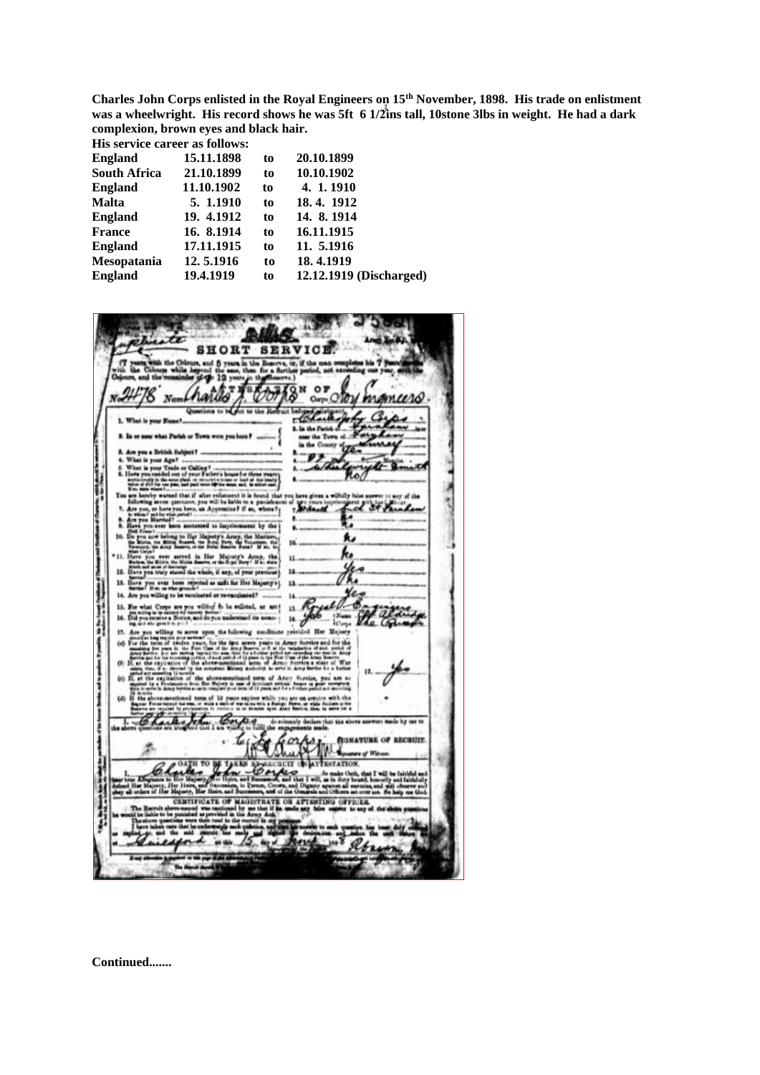**Charles John Corps enlisted in the Royal Engineers on 15th November, 1898. His trade on enlistment** was a wheelwright. His record shows he was 5ft 6 1/2 ins tall, 10stone 3lbs in weight. He had a dark  **complexion, brown eyes and black hair.**

**His service career as follows:**

| 15.11.1898 | to | 20.10.1899              |
|------------|----|-------------------------|
| 21.10.1899 | to | 10.10.1902              |
| 11.10.1902 | to | 4. 1. 1910              |
| 5. 1.1910  | to | 18.4.1912               |
| 19. 4.1912 | to | 14. 8. 1914             |
| 16. 8.1914 | to | 16.11.1915              |
| 17.11.1915 | to | 11. 5.1916              |
| 12.5.1916  | to | 18.4.1919               |
| 19.4.1919  | to | 12.12.1919 (Discharged) |
|            |    |                         |



**Continued.......**